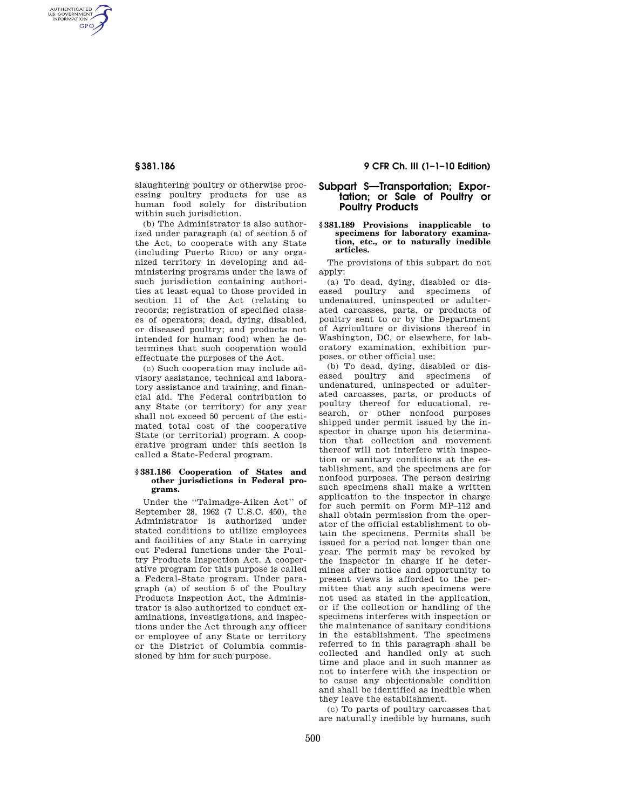AUTHENTICATED<br>U.S. GOVERNMENT<br>INFORMATION **GPO** 

> slaughtering poultry or otherwise processing poultry products for use as human food solely for distribution within such jurisdiction.

(b) The Administrator is also authorized under paragraph (a) of section 5 of the Act, to cooperate with any State (including Puerto Rico) or any organized territory in developing and administering programs under the laws of such jurisdiction containing authorities at least equal to those provided in section 11 of the Act (relating to records; registration of specified classes of operators; dead, dying, disabled, or diseased poultry; and products not intended for human food) when he determines that such cooperation would effectuate the purposes of the Act.

(c) Such cooperation may include advisory assistance, technical and laboratory assistance and training, and financial aid. The Federal contribution to any State (or territory) for any year shall not exceed 50 percent of the estimated total cost of the cooperative State (or territorial) program. A cooperative program under this section is called a State-Federal program.

#### **§ 381.186 Cooperation of States and other jurisdictions in Federal programs.**

Under the ''Talmadge-Aiken Act'' of September 28, 1962 (7 U.S.C. 450), the Administrator is authorized under stated conditions to utilize employees and facilities of any State in carrying out Federal functions under the Poultry Products Inspection Act. A cooperative program for this purpose is called a Federal-State program. Under paragraph (a) of section 5 of the Poultry Products Inspection Act, the Administrator is also authorized to conduct examinations, investigations, and inspections under the Act through any officer or employee of any State or territory or the District of Columbia commissioned by him for such purpose.

# **§ 381.186 9 CFR Ch. III (1–1–10 Edition)**

# **Subpart S—Transportation; Exportation; or Sale of Poultry or Poultry Products**

### **§ 381.189 Provisions inapplicable to specimens for laboratory examination, etc., or to naturally inedible articles.**

The provisions of this subpart do not apply:

(a) To dead, dying, disabled or diseased poultry and specimens of undenatured, uninspected or adulterated carcasses, parts, or products of poultry sent to or by the Department of Agriculture or divisions thereof in Washington, DC, or elsewhere, for laboratory examination, exhibition purposes, or other official use;

(b) To dead, dying, disabled or diseased poultry and specimens of undenatured, uninspected or adulterated carcasses, parts, or products of poultry thereof for educational, research, or other nonfood purposes shipped under permit issued by the inspector in charge upon his determination that collection and movement thereof will not interfere with inspection or sanitary conditions at the establishment, and the specimens are for nonfood purposes. The person desiring such specimens shall make a written application to the inspector in charge for such permit on Form MP–112 and shall obtain permission from the operator of the official establishment to obtain the specimens. Permits shall be issued for a period not longer than one year. The permit may be revoked by the inspector in charge if he determines after notice and opportunity to present views is afforded to the permittee that any such specimens were not used as stated in the application, or if the collection or handling of the specimens interferes with inspection or the maintenance of sanitary conditions in the establishment. The specimens referred to in this paragraph shall be collected and handled only at such time and place and in such manner as not to interfere with the inspection or to cause any objectionable condition and shall be identified as inedible when they leave the establishment.

(c) To parts of poultry carcasses that are naturally inedible by humans, such